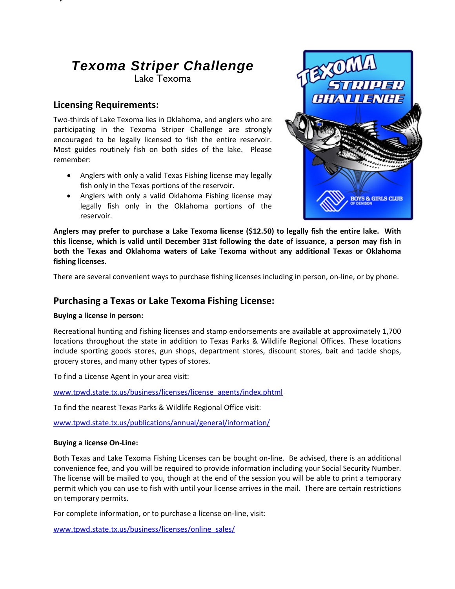# *Texoma Striper Challenge*  Lake Texoma

# **Licensing Requirements:**

**y**

Two‐thirds of Lake Texoma lies in Oklahoma, and anglers who are participating in the Texoma Striper Challenge are strongly encouraged to be legally licensed to fish the entire reservoir. Most guides routinely fish on both sides of the lake. Please remember:

- Anglers with only a valid Texas Fishing license may legally fish only in the Texas portions of the reservoir.
- Anglers with only a valid Oklahoma Fishing license may legally fish only in the Oklahoma portions of the reservoir.



Anglers may prefer to purchase a Lake Texoma license (\$12.50) to legally fish the entire lake. With this license, which is valid until December 31st following the date of issuance, a person may fish in **both the Texas and Oklahoma waters of Lake Texoma without any additional Texas or Oklahoma fishing licenses.**

There are several convenient ways to purchase fishing licenses including in person, on‐line, or by phone.

# **Purchasing a Texas or Lake Texoma Fishing License:**

## **Buying a license in person:**

Recreational hunting and fishing licenses and stamp endorsements are available at approximately 1,700 locations throughout the state in addition to Texas Parks & Wildlife Regional Offices. These locations include sporting goods stores, gun shops, department stores, discount stores, bait and tackle shops, grocery stores, and many other types of stores.

To find a License Agent in your area visit:

www.tpwd.state.tx.us/business/licenses/license\_agents/index.phtml

To find the nearest Texas Parks & Wildlife Regional Office visit:

www.tpwd.state.tx.us/publications/annual/general/information/

## **Buying a license On‐Line:**

Both Texas and Lake Texoma Fishing Licenses can be bought on‐line. Be advised, there is an additional convenience fee, and you will be required to provide information including your Social Security Number. The license will be mailed to you, though at the end of the session you will be able to print a temporary permit which you can use to fish with until your license arrives in the mail. There are certain restrictions on temporary permits.

For complete information, or to purchase a license on‐line, visit:

www.tpwd.state.tx.us/business/licenses/online\_sales/